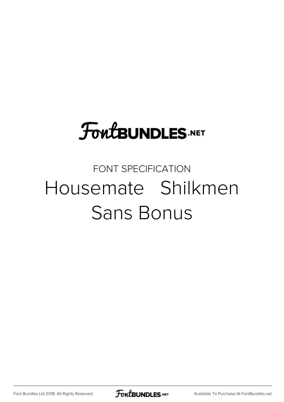# **FoutBUNDLES.NET**

# FONT SPECIFICATION Housemate Shilkmen Sans Bonus

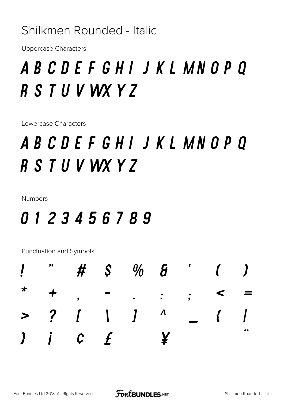### Shilkmen Rounded - Italic

**Uppercase Characters** 

# A B C D E F G H I J K L MN O P O R S T U V WX Y Z

Lowercase Characters

# A B C D E F G H I J K L MN O P O R S T U V WX Y Z

**Numbers** 

## 0123456789

|  |  | $\begin{array}{cccccccccccccc} 1 & & 0 & & \end{array}$ # $\begin{array}{cccccccccc} 1 & & 0 & & \end{array}$ & $\begin{array}{cccccccccc} 0 & & 0 & \end{array}$ |  |  |
|--|--|-------------------------------------------------------------------------------------------------------------------------------------------------------------------|--|--|
|  |  | * + , - , : ; < =                                                                                                                                                 |  |  |
|  |  |                                                                                                                                                                   |  |  |
|  |  |                                                                                                                                                                   |  |  |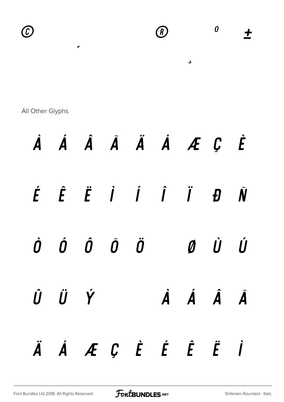

# *À Á Â Ã Ä Å Æ Ç È É Ê Ë Ì Í Î Ï Ð Ñ Ò Ó Ô Õ Ö Ø Ù Ú Û Ü Ý à á â ã ä å æ ç è é ê ë ì*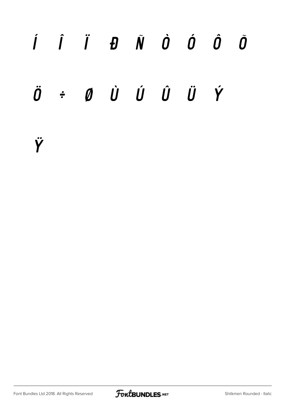# *í î ï ð ñ ò ó ô õ ö ÷ ø ù ú û ü ý* þ *ÿ*

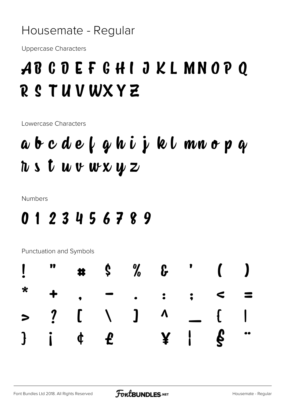#### Housemate - Regular

**Uppercase Characters** 

# ABCDEFGHIJKLMNOPQ RSTUVWXYZ

Lowercase Characters

# a b c d e  $\ell$  g h i j k l mn o p q  $\boldsymbol{v}$  s  $\boldsymbol{v}$   $\boldsymbol{w}$   $\boldsymbol{v}$   $\boldsymbol{w}$   $\boldsymbol{x}$   $\boldsymbol{w}$   $\boldsymbol{z}$

**Numbers** 

### 0123456789

|  |  |  | * + , - , : ; < =                      |  |
|--|--|--|----------------------------------------|--|
|  |  |  |                                        |  |
|  |  |  | > ? [ \ ] ^ _ {  <br>} i ¢ £ ¤ ¥   § " |  |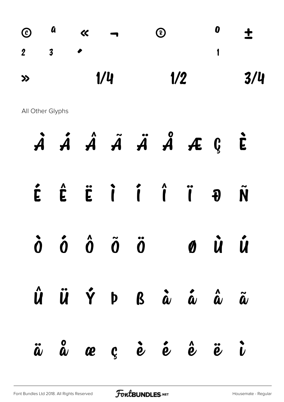

| $\hat{A}$ $\hat{A}$ $\hat{A}$ $\hat{A}$ $\hat{A}$ $\hat{A}$ $\hat{A}$ $\hat{E}$        |  |  |  |  |
|----------------------------------------------------------------------------------------|--|--|--|--|
| É Ê Ë Î Í Î Ï Đ Ñ                                                                      |  |  |  |  |
| $\dot{0}$ $\dot{0}$ $\dot{0}$ $\ddot{0}$ $\times$ $\dot{0}$ $\dot{u}$                  |  |  |  |  |
| $\hat{u}$ $\ddot{u}$ $\acute{y}$ $p$ $g$ $\dot{a}$ $\dot{a}$ $\dot{a}$ $\ddot{a}$      |  |  |  |  |
| $\ddot{a}$ $\ddot{a}$ $\alpha$ $c$ $\dot{e}$ $\dot{e}$ $\dot{e}$ $\ddot{e}$ $\ddot{v}$ |  |  |  |  |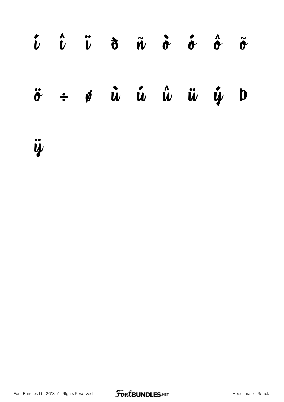|                 |  | $\hat{u}$ $\hat{u}$ $\hat{v}$ $\hat{v}$ $\hat{\sigma}$ $\hat{\sigma}$ $\hat{\sigma}$ $\hat{\sigma}$ |  |  |  |
|-----------------|--|-----------------------------------------------------------------------------------------------------|--|--|--|
|                 |  | $\ddot{\sigma}$ $\div$ $\phi$ $\dot{u}$ $\dot{u}$ $\dot{u}$ $\dot{u}$ $\dot{u}$ $\dot{y}$ $D$       |  |  |  |
| $\ddot{\bm{y}}$ |  |                                                                                                     |  |  |  |

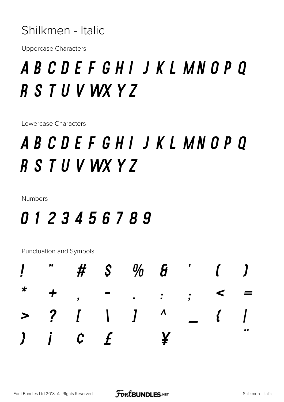#### Shilkmen - Italic

**Uppercase Characters** 

# A B C D E F G H I J K L MN O P O R S T U V WX Y Z

Lowercase Characters

# A B C D E F G H I J K L MN O P O R S T U V WX Y Z

**Numbers** 

### 0123456789

|  |  | $\begin{array}{cccccccccccccc} I & & & & & & \end{array}$ # $\begin{array}{cccccccccc} S & & & \text{\%} & & \text{\&} & & \text{\&} & & \text{\&} & & \text{\&} & & \end{array}$ |  |  |
|--|--|-----------------------------------------------------------------------------------------------------------------------------------------------------------------------------------|--|--|
|  |  | * + , - , : ; < =                                                                                                                                                                 |  |  |
|  |  | $\begin{array}{ccccccccc} > & ? & I & I & J & ^{\wedge} & & - & \left\{ & I & I & J & \Delta & & - & \Delta & I \end{array}$                                                      |  |  |
|  |  |                                                                                                                                                                                   |  |  |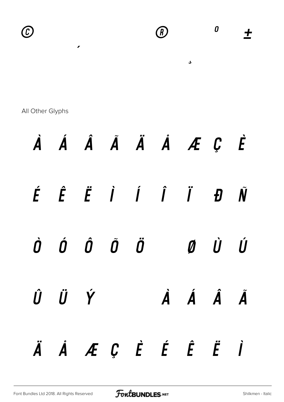

# *À Á Â Ã Ä Å Æ Ç È É Ê Ë Ì Í Î Ï Ð Ñ Ò Ó Ô Õ Ö Ø Ù Ú Û Ü Ý à á â ã ä å æ ç è é ê ë ì*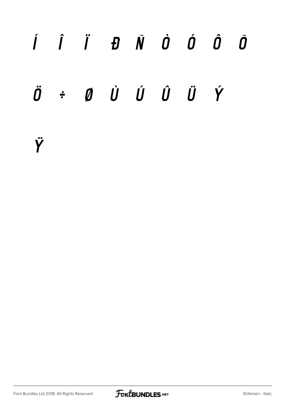# *í î ï ð ñ ò ó ô õ ö ÷ ø ù ú û ü ý*  $\mathsf{b}$ *ÿ*

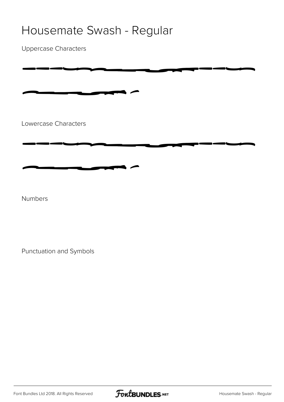### Housemate Swash - Regular

**Uppercase Characters** 

Lowercase Characters

**Numbers** 

## 0123456789

|  |  | $\frac{1}{2}$ " # \$ % & ' ( ) |  |  |
|--|--|--------------------------------|--|--|
|  |  | $+$ , - . : ; < =              |  |  |
|  |  | $> ? [ ) ]^{\wedge} =$         |  |  |
|  |  | $\}$ j $\phi$ £ ¤ ¥ ¦ § "      |  |  |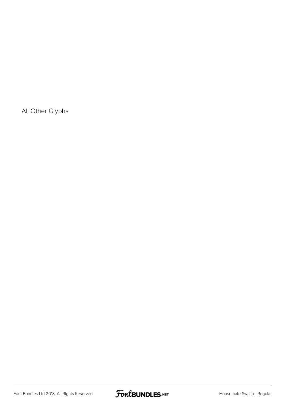

### À Á Â Ã Ä Å Æ Ç È ÉÊËÌÍÎÏ  $\tilde{\bf N}$ Đ ÒÓÔÕÖרÙ  $\dot{J}$ Û Ü Ý Þ ß à á â  $\tilde{\mathbf{a}}$ å æç è é ê ë ä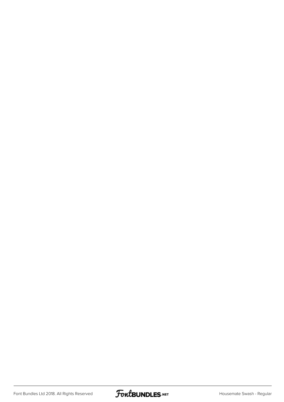### í î ï ð ñ ò ó ô õ ù ú û ü ý  $\ddot{O}$  $\mathsf{b}$  $\frac{1}{1}$ Ø

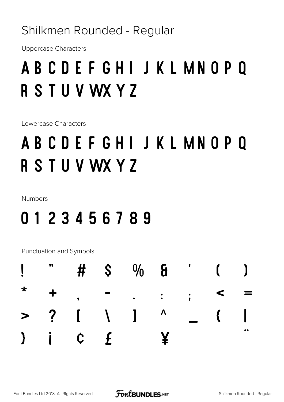### Shilkmen Rounded - Regular

**Uppercase Characters** 

# ABCDEFGHIJKLMNOPO **RSTUVWXYZ**

Lowercase Characters

# ABCDEFGHIJKLMNOPQ **RSTUVWXYZ**

**Numbers** 

# 0123456789

|  |  | $\frac{1}{1}$ " # \$ % & ' ( ) |  |  |
|--|--|--------------------------------|--|--|
|  |  | * + , - ; < =                  |  |  |
|  |  |                                |  |  |
|  |  |                                |  |  |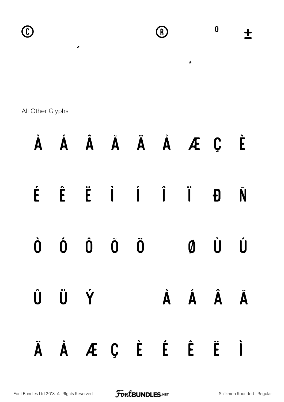

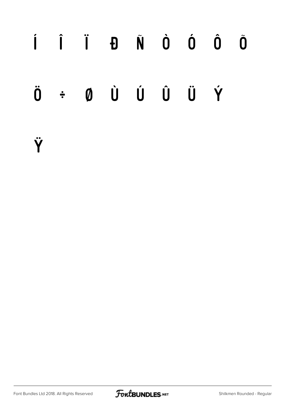# í î ï ð ñ ò ó ô õ ö ÷ ø ù ú û ü ý þ

ÿ

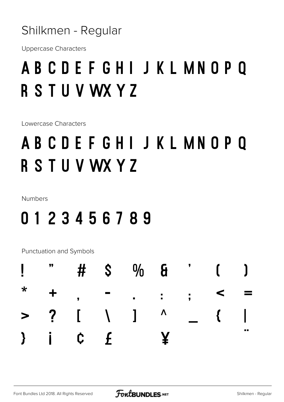### Shilkmen - Regular

**Uppercase Characters** 

# ABCDEFGHIJKLMNOPO **R S T U V WX Y Z**

Lowercase Characters

# ABCDEFGHIJKLMNOPQ **R S T U V WX Y Z**

**Numbers** 

## 0123456789

|  |  | $\frac{1}{1}$ " # \$ % & ' ( )                                                                        |  |  |
|--|--|-------------------------------------------------------------------------------------------------------|--|--|
|  |  | * + , - , : ; < =                                                                                     |  |  |
|  |  | > ? $[$ $\begin{array}{cccc} 1 & 1 & 1 & 1 & 1 \\ 1 & 1 & 1 & 1 & 1 \\ 1 & 1 & 1 & 1 & 1 \end{array}$ |  |  |
|  |  |                                                                                                       |  |  |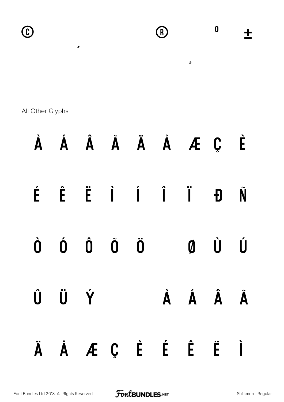